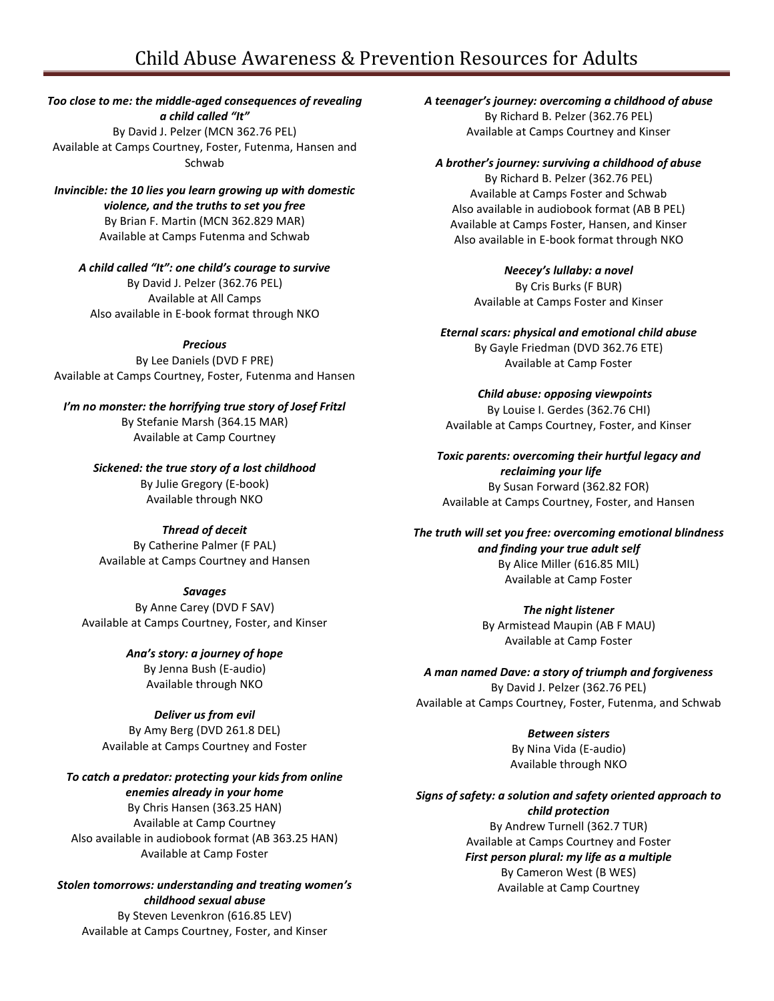# Child Abuse Awareness & Prevention Resources for Adults

*Too close to me: the middle-aged consequences of revealing a child called "It"* By David J. Pelzer (MCN 362.76 PEL) Available at Camps Courtney, Foster, Futenma, Hansen and Schwab

*Invincible: the 10 lies you learn growing up with domestic violence, and the truths to set you free* By Brian F. Martin (MCN 362.829 MAR) Available at Camps Futenma and Schwab

*A child called "It": one child's courage to survive* By David J. Pelzer (362.76 PEL) Available at All Camps Also available in E-book format through NKO

*Precious*

By Lee Daniels (DVD F PRE) Available at Camps Courtney, Foster, Futenma and Hansen

*I'm no monster: the horrifying true story of Josef Fritzl* By Stefanie Marsh (364.15 MAR) Available at Camp Courtney

*Sickened: the true story of a lost childhood*

By Julie Gregory (E-book) Available through NKO

#### *Thread of deceit*

By Catherine Palmer (F PAL) Available at Camps Courtney and Hansen

#### *Savages*

By Anne Carey (DVD F SAV) Available at Camps Courtney, Foster, and Kinser

> *Ana's story: a journey of hope* By Jenna Bush (E-audio) Available through NKO

## *Deliver us from evil*

By Amy Berg (DVD 261.8 DEL) Available at Camps Courtney and Foster

*To catch a predator: protecting your kids from online enemies already in your home*

By Chris Hansen (363.25 HAN) Available at Camp Courtney Also available in audiobook format (AB 363.25 HAN) Available at Camp Foster

*Stolen tomorrows: understanding and treating women's childhood sexual abuse* By Steven Levenkron (616.85 LEV)

Available at Camps Courtney, Foster, and Kinser

*A teenager's journey: overcoming a childhood of abuse* By Richard B. Pelzer (362.76 PEL) Available at Camps Courtney and Kinser

#### *A brother's journey: surviving a childhood of abuse*

By Richard B. Pelzer (362.76 PEL) Available at Camps Foster and Schwab Also available in audiobook format (AB B PEL) Available at Camps Foster, Hansen, and Kinser Also available in E-book format through NKO

*Neecey's lullaby: a novel* By Cris Burks (F BUR) Available at Camps Foster and Kinser

*Eternal scars: physical and emotional child abuse* By Gayle Friedman (DVD 362.76 ETE) Available at Camp Foster

*Child abuse: opposing viewpoints* By Louise I. Gerdes (362.76 CHI) Available at Camps Courtney, Foster, and Kinser

*Toxic parents: overcoming their hurtful legacy and reclaiming your life* By Susan Forward (362.82 FOR) Available at Camps Courtney, Foster, and Hansen

*The truth will set you free: overcoming emotional blindness and finding your true adult self* By Alice Miller (616.85 MIL) Available at Camp Foster

> *The night listener* By Armistead Maupin (AB F MAU) Available at Camp Foster

*A man named Dave: a story of triumph and forgiveness* By David J. Pelzer (362.76 PEL) Available at Camps Courtney, Foster, Futenma, and Schwab

> *Between sisters* By Nina Vida (E-audio) Available through NKO

*Signs of safety: a solution and safety oriented approach to child protection* By Andrew Turnell (362.7 TUR) Available at Camps Courtney and Foster *First person plural: my life as a multiple* By Cameron West (B WES) Available at Camp Courtney